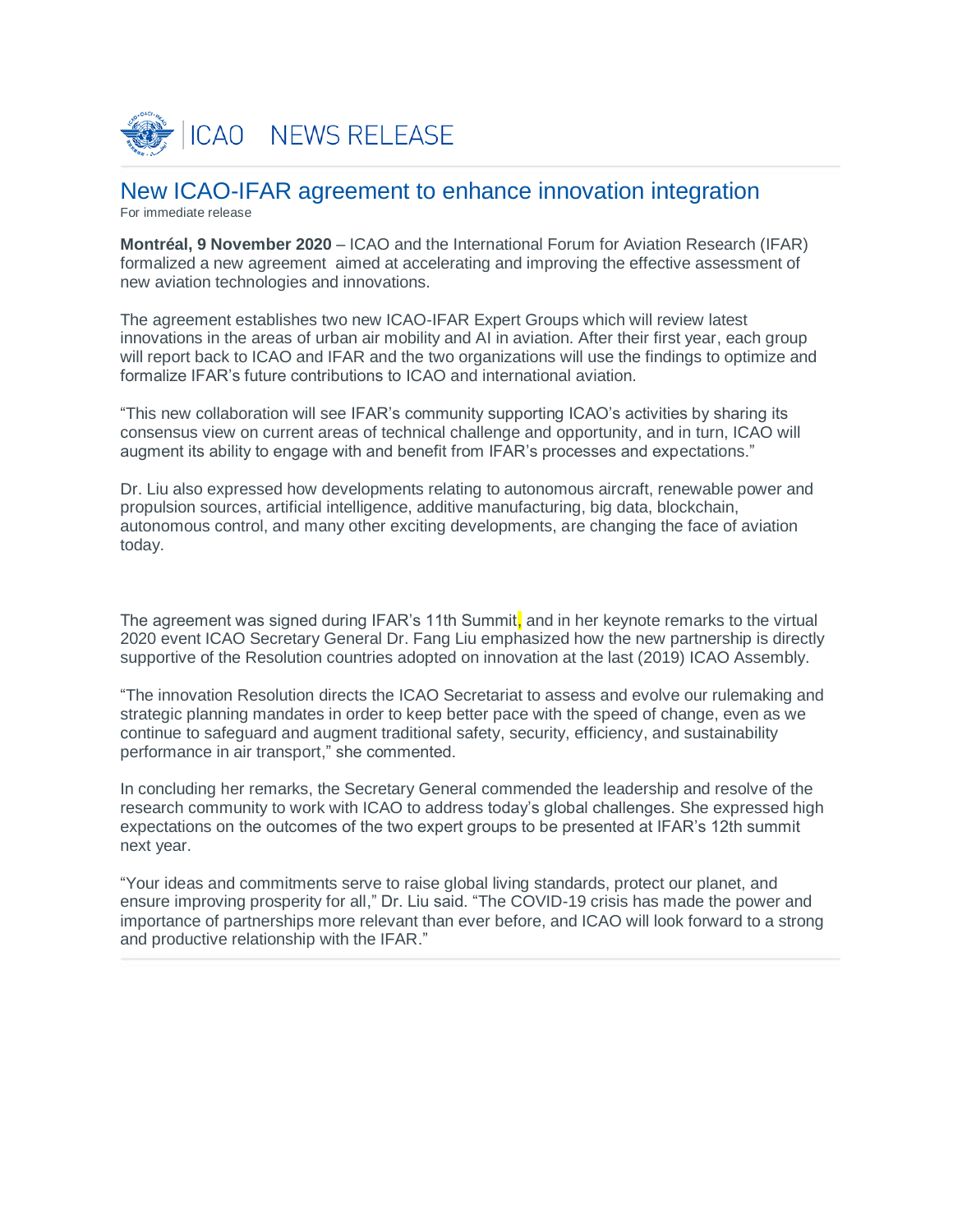

# New ICAO-IFAR agreement to enhance innovation integration

For immediate release

**Montréal, 9 November 2020** – ICAO and the International Forum for Aviation Research (IFAR) formalized a new agreement aimed at accelerating and improving the effective assessment of new aviation technologies and innovations.

The agreement establishes two new ICAO-IFAR Expert Groups which will review latest innovations in the areas of urban air mobility and AI in aviation. After their first year, each group will report back to ICAO and IFAR and the two organizations will use the findings to optimize and formalize IFAR's future contributions to ICAO and international aviation.

"This new collaboration will see IFAR's community supporting ICAO's activities by sharing its consensus view on current areas of technical challenge and opportunity, and in turn, ICAO will augment its ability to engage with and benefit from IFAR's processes and expectations."

Dr. Liu also expressed how developments relating to autonomous aircraft, renewable power and propulsion sources, artificial intelligence, additive manufacturing, big data, blockchain, autonomous control, and many other exciting developments, are changing the face of aviation today.

The agreement was signed during IFAR's 11th Summit, and in her keynote remarks to the virtual 2020 event ICAO Secretary General Dr. Fang Liu emphasized how the new partnership is directly supportive of the Resolution countries adopted on innovation at the last (2019) ICAO Assembly.

"The innovation Resolution directs the ICAO Secretariat to assess and evolve our rulemaking and strategic planning mandates in order to keep better pace with the speed of change, even as we continue to safeguard and augment traditional safety, security, efficiency, and sustainability performance in air transport," she commented.

In concluding her remarks, the Secretary General commended the leadership and resolve of the research community to work with ICAO to address today's global challenges. She expressed high expectations on the outcomes of the two expert groups to be presented at IFAR's 12th summit next year.

"Your ideas and commitments serve to raise global living standards, protect our planet, and ensure improving prosperity for all," Dr. Liu said. "The COVID-19 crisis has made the power and importance of partnerships more relevant than ever before, and ICAO will look forward to a strong and productive relationship with the IFAR."